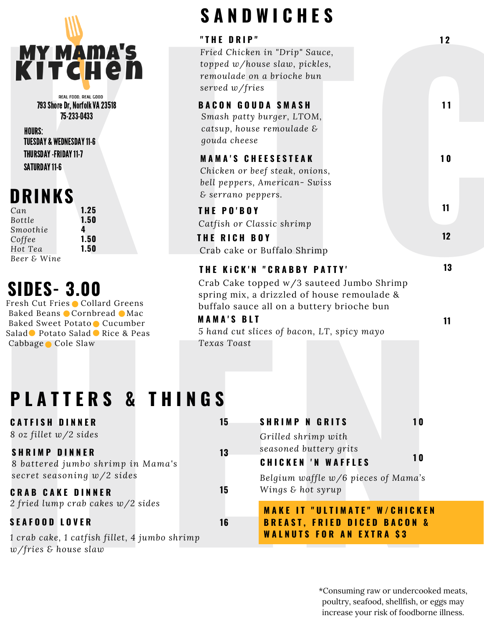

## **DRINKS**

| Can         |  |
|-------------|--|
| Bottle      |  |
| Smoothie    |  |
| Coffee      |  |
| Hot Tea     |  |
| Beer & Wine |  |

## **SIDES- 3.00**

# **S A N D W I C H E S**

|                                                                                                                                                                                                              | O H II D II I U II L O                                                                                                                                                                                                   |                                      |
|--------------------------------------------------------------------------------------------------------------------------------------------------------------------------------------------------------------|--------------------------------------------------------------------------------------------------------------------------------------------------------------------------------------------------------------------------|--------------------------------------|
| <b>MY MAMA'S</b><br>KITCHen                                                                                                                                                                                  | "THE DRIP"<br>Fried Chicken in "Drip" Sauce,<br>topped w/house slaw, pickles,<br>remoulade on a brioche bun<br>served w/fries                                                                                            | 12                                   |
| REAL FOOD, REAL GOOD<br>793 Shore Dr, Norfolk VA 23518<br>75-233-0433<br><b>HOURS:</b><br><b>TUESDAY &amp; WEDNESDAY 11-6</b>                                                                                | <b>BACON GOUDA SMASH</b><br>Smash patty burger, LTOM,<br>catsup, house remoulade &<br>gouda cheese                                                                                                                       | 11                                   |
| <b>THURSDAY -FRIDAY 11-7</b><br><b>SATURDAY 11-6</b><br><b>DRINKS</b>                                                                                                                                        | <b>MAMA'S CHEESESTEAK</b><br>Chicken or beef steak, onions,<br>bell peppers, American-Swiss<br>& serrano peppers.                                                                                                        | 10                                   |
| 1.25<br>Can<br>1.50<br>Bottle                                                                                                                                                                                | THE PO'BOY                                                                                                                                                                                                               | 11                                   |
| Smoothie<br>1.50<br>Coffee<br>1.50<br>Hot Tea                                                                                                                                                                | Catfish or Classic shrimp<br>THE RICH BOY<br>Crab cake or Buffalo Shrimp                                                                                                                                                 | 12                                   |
| <b>SIDES-3.00</b><br>Fresh Cut Fries Collard Greens<br>Baked Beans ● Cornbread ● Mac<br>Baked Sweet Potato Cucumber<br>Salad● Potato Salad● Rice & Peas<br>Cabbage Cole Slaw<br><b>PLATTERS &amp; THINGS</b> | Crab Cake topped w/3 sauteed Jumbo Shrimp<br>spring mix, a drizzled of house remoulade &<br>buffalo sauce all on a buttery brioche bun<br><b>MAMA'S BLT</b><br>5 hand cut slices of bacon, LT, spicy mayo<br>Texas Toast | 11                                   |
| <b>CATFISH DINNER</b><br>8 oz fillet $w/2$ sides                                                                                                                                                             | <b>SHRIMP N GRITS</b><br>15<br>Grilled shrimp with                                                                                                                                                                       | 10                                   |
| <b>SHRIMP DINNER</b><br>8 battered jumbo shrimp in Mama's<br>secret seasoning w/2 sides                                                                                                                      | seasoned buttery grits<br>13<br><b>CHICKEN 'N WAFFLES</b><br>Belgium waffle w/6 pieces of Mama's                                                                                                                         | <b>10</b>                            |
| <b>CRAB CAKE DINNER</b><br>2 fried lump crab cakes $w/2$ sides                                                                                                                                               | Wings & hot syrup<br>15<br><b>MAKE IT "ULTIMATE" W/CHICKEN</b>                                                                                                                                                           |                                      |
| <b>SEAFOOD LOVER</b>                                                                                                                                                                                         | 16<br><b>BREAST, FRIED DICED BACON &amp;</b><br><b>WALNUTS FOR AN EXTRA \$3</b>                                                                                                                                          |                                      |
| 1 crab cake, 1 catfish fillet, 4 jumbo shrimp<br>$w$ /fries & house slaw                                                                                                                                     |                                                                                                                                                                                                                          | *Consuming raw or undercooked meats, |

# **P L A T T E R S & T H I N G S**

## **C R A B C A K E D I N N E R**

## **S E A F O O D L O V E R**

#### \*Consuming raw or undercooked meats, poultry, seafood, shellfish, or eggs may increase your risk of foodborne illness.